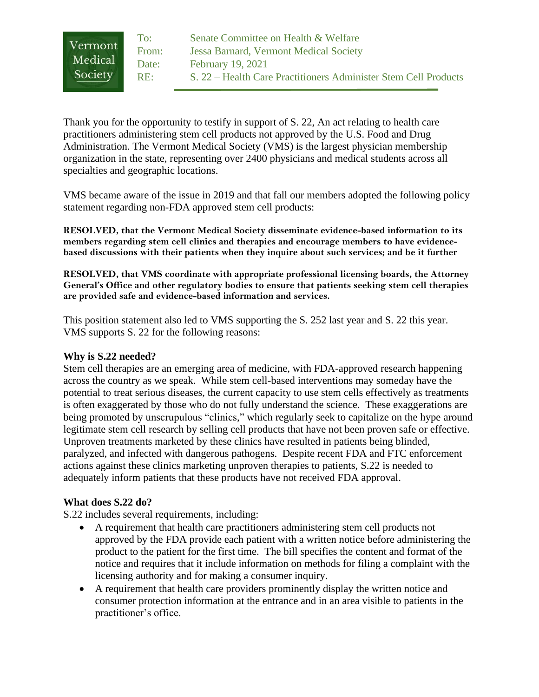| Vermont | To:   | Senate Committee on Health & Welfare                            |
|---------|-------|-----------------------------------------------------------------|
|         | From: | Jessa Barnard, Vermont Medical Society                          |
| Medical | Date: | <b>February 19, 2021</b>                                        |
| Society | RE:   | S. 22 – Health Care Practitioners Administer Stem Cell Products |

Thank you for the opportunity to testify in support of S. 22, An act relating to health care practitioners administering stem cell products not approved by the U.S. Food and Drug Administration. The Vermont Medical Society (VMS) is the largest physician membership organization in the state, representing over 2400 physicians and medical students across all specialties and geographic locations.

VMS became aware of the issue in 2019 and that fall our members adopted the following policy statement regarding non-FDA approved stem cell products:

**RESOLVED, that the Vermont Medical Society disseminate evidence-based information to its members regarding stem cell clinics and therapies and encourage members to have evidencebased discussions with their patients when they inquire about such services; and be it further** 

**RESOLVED, that VMS coordinate with appropriate professional licensing boards, the Attorney General's Office and other regulatory bodies to ensure that patients seeking stem cell therapies are provided safe and evidence-based information and services.** 

This position statement also led to VMS supporting the S. 252 last year and S. 22 this year. VMS supports S. 22 for the following reasons:

## **Why is S.22 needed?**

Stem cell therapies are an emerging area of medicine, with FDA-approved research happening across the country as we speak. While stem cell-based interventions may someday have the potential to treat serious diseases, the current capacity to use stem cells effectively as treatments is often exaggerated by those who do not fully understand the science. These exaggerations are being promoted by unscrupulous "clinics," which regularly seek to capitalize on the hype around legitimate stem cell research by selling cell products that have not been proven safe or effective. Unproven treatments marketed by these clinics have resulted in patients being blinded, paralyzed, and infected with dangerous pathogens. Despite recent FDA and FTC enforcement actions against these clinics marketing unproven therapies to patients, S.22 is needed to adequately inform patients that these products have not received FDA approval.

## **What does S.22 do?**

S.22 includes several requirements, including:

- A requirement that health care practitioners administering stem cell products not approved by the FDA provide each patient with a written notice before administering the product to the patient for the first time. The bill specifies the content and format of the notice and requires that it include information on methods for filing a complaint with the licensing authority and for making a consumer inquiry.
- A requirement that health care providers prominently display the written notice and consumer protection information at the entrance and in an area visible to patients in the practitioner's office.